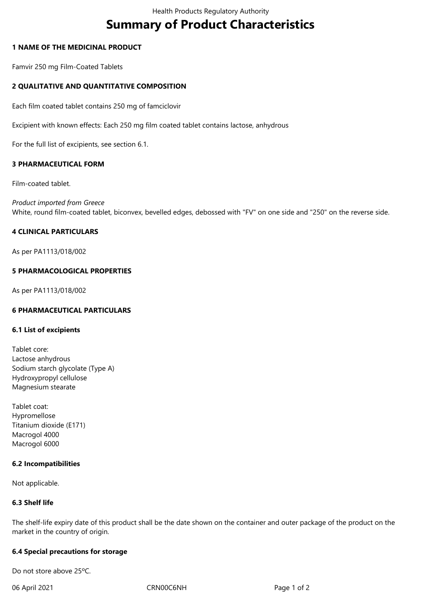# **Summary of Product Characteristics**

## **1 NAME OF THE MEDICINAL PRODUCT**

Famvir 250 mg Film-Coated Tablets

# **2 QUALITATIVE AND QUANTITATIVE COMPOSITION**

Each film coated tablet contains 250 mg of famciclovir

Excipient with known effects: Each 250 mg film coated tablet contains lactose, anhydrous

For the full list of excipients, see section 6.1.

## **3 PHARMACEUTICAL FORM**

Film-coated tablet.

*Product imported from Greece* White, round film-coated tablet, biconvex, bevelled edges, debossed with "FV" on one side and "250" on the reverse side.

## **4 CLINICAL PARTICULARS**

As per PA1113/018/002

## **5 PHARMACOLOGICAL PROPERTIES**

As per PA1113/018/002

#### **6 PHARMACEUTICAL PARTICULARS**

#### **6.1 List of excipients**

Tablet core: Lactose anhydrous Sodium starch glycolate (Type A) Hydroxypropyl cellulose Magnesium stearate

Tablet coat: Hypromellose Titanium dioxide (E171) Macrogol 4000 Macrogol 6000

#### **6.2 Incompatibilities**

Not applicable.

#### **6.3 Shelf life**

The shelf-life expiry date of this product shall be the date shown on the container and outer package of the product on the market in the country of origin.

#### **6.4 Special precautions for storage**

Do not store above 25ºC.

06 April 2021 CRN00C6NH CRNOOC6NH Page 1 of 2